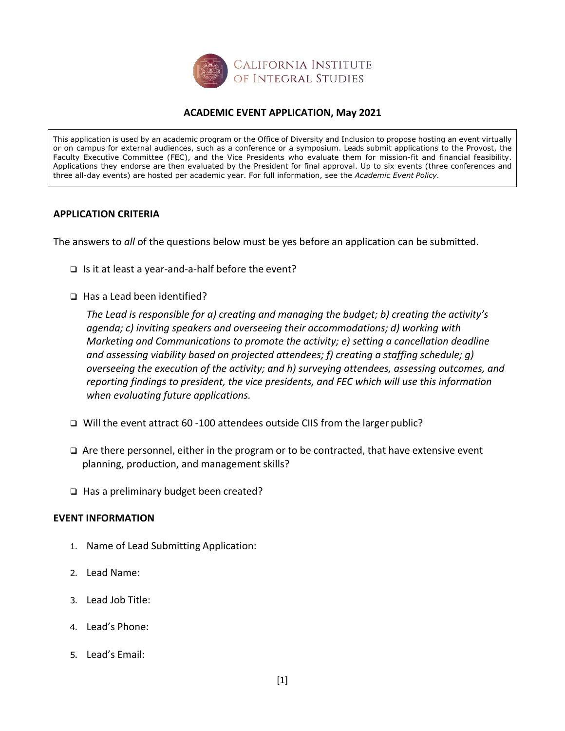

## **ACADEMIC EVENT APPLICATION, May 2021**

This application is used by an academic program or the Office of Diversity and Inclusion to propose hosting an event virtually or on campus for external audiences, such as a conference or a symposium. Leads submit applications to the Provost, the Faculty Executive Committee (FEC), and the Vice Presidents who evaluate them for mission-fit and financial feasibility. Applications they endorse are then evaluated by the President for final approval. Up to six events (three conferences and three all-day events) are hosted per academic year. For full information, see the *Academic Event Policy.*

## **APPLICATION CRITERIA**

The answers to *all* of the questions below must be yes before an application can be submitted.

- $\Box$  Is it at least a year-and-a-half before the event?
- $\Box$  Has a Lead been identified?

*The Lead is responsible for a) creating and managing the budget; b) creating the activity's agenda; c) inviting speakers and overseeing their accommodations; d) working with Marketing and Communications to promote the activity; e) setting a cancellation deadline and assessing viability based on projected attendees; f) creating a staffing schedule; g) overseeing the execution of the activity; and h) surveying attendees, assessing outcomes, and reporting findings to president, the vice presidents, and FEC which will use this information when evaluating future applications.*

- q Will the event attract 60 -100 attendees outside CIIS from the larger public?
- $\Box$  Are there personnel, either in the program or to be contracted, that have extensive event planning, production, and management skills?
- $\Box$  Has a preliminary budget been created?

## **EVENT INFORMATION**

- 1. Name of Lead Submitting Application:
- 2. Lead Name:
- 3. Lead Job Title:
- 4. Lead's Phone:
- 5. Lead's Email: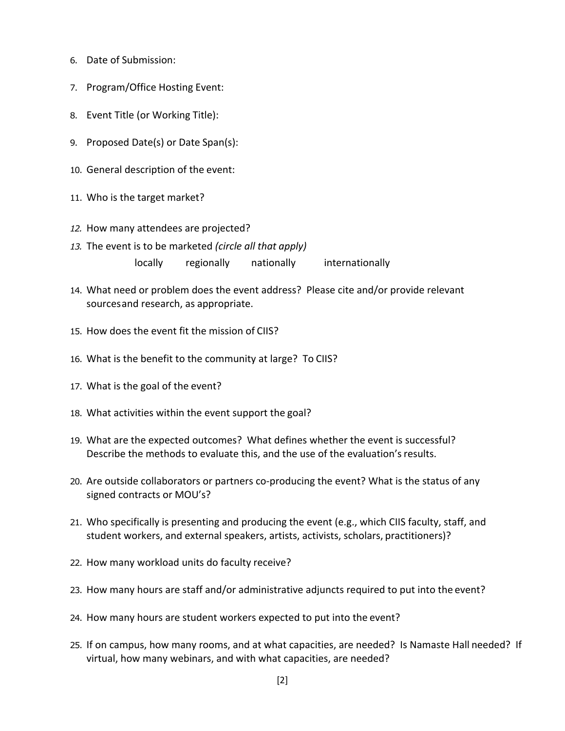- 6. Date of Submission:
- 7. Program/Office Hosting Event:
- 8. Event Title (or Working Title):
- 9. Proposed Date(s) or Date Span(s):
- 10. General description of the event:
- 11. Who is the target market?
- *12.* How many attendees are projected?
- *13.* The event is to be marketed *(circle all that apply)* locally regionally nationally internationally
- 14. What need or problem does the event address? Please cite and/or provide relevant sourcesand research, as appropriate.
- 15. How does the event fit the mission of CIIS?
- 16. What is the benefit to the community at large? To CIIS?
- 17. What is the goal of the event?
- 18. What activities within the event support the goal?
- 19. What are the expected outcomes? What defines whether the event is successful? Describe the methods to evaluate this, and the use of the evaluation's results.
- 20. Are outside collaborators or partners co-producing the event? What is the status of any signed contracts or MOU's?
- 21. Who specifically is presenting and producing the event (e.g., which CIIS faculty, staff, and student workers, and external speakers, artists, activists, scholars, practitioners)?
- 22. How many workload units do faculty receive?
- 23. How many hours are staff and/or administrative adjuncts required to put into the event?
- 24. How many hours are student workers expected to put into the event?
- 25. If on campus, how many rooms, and at what capacities, are needed? Is Namaste Hall needed? If virtual, how many webinars, and with what capacities, are needed?